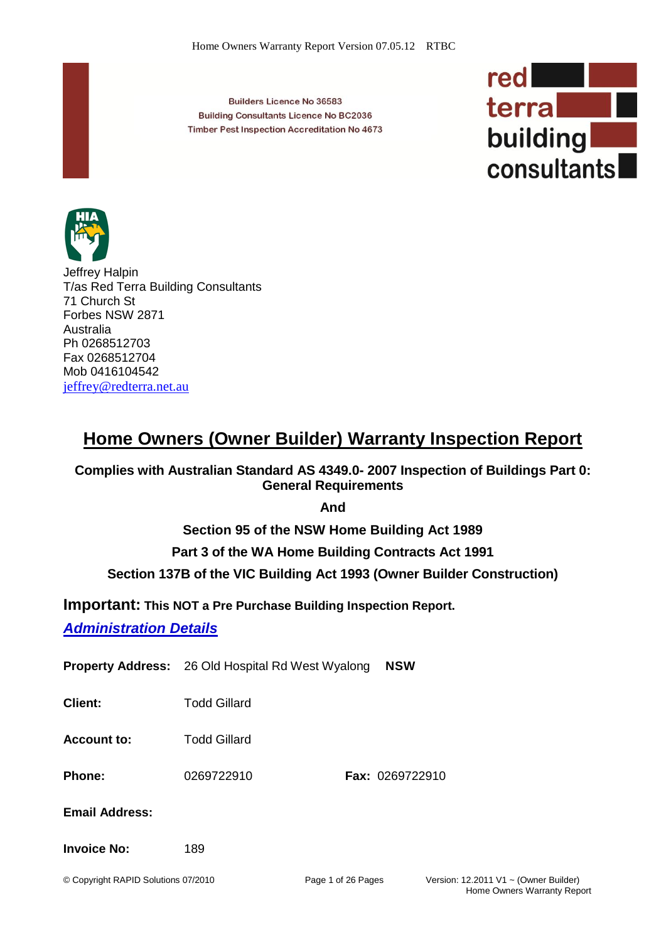**Builders Licence No 36583 Building Consultants Licence No BC2036** Timber Pest Inspection Accreditation No 4673





Jeffrey Halpin T/as Red Terra Building Consultants 71 Church St Forbes NSW 2871 Australia Ph 0268512703 Fax 0268512704 Mob 0416104542 [jeffrey@redterra.net.au](mailto:jeffrey@redterra.net.au) 

# **Home Owners (Owner Builder) Warranty Inspection Report**

**Complies with Australian Standard AS 4349.0- 2007 Inspection of Buildings Part 0: General Requirements**

**And** 

**Section 95 of the NSW Home Building Act 1989**

**Part 3 of the WA Home Building Contracts Act 1991**

### **Section 137B of the VIC Building Act 1993 (Owner Builder Construction)**

**Important: This NOT a Pre Purchase Building Inspection Report.**

*Administration Details*

**Property Address:** 26 Old Hospital Rd West Wyalong **NSW**

**Client:** Todd Gillard

**Account to:** Todd Gillard

**Phone:** 0269722910 **Fax:** 0269722910

**Email Address:**

#### **Invoice No:** 189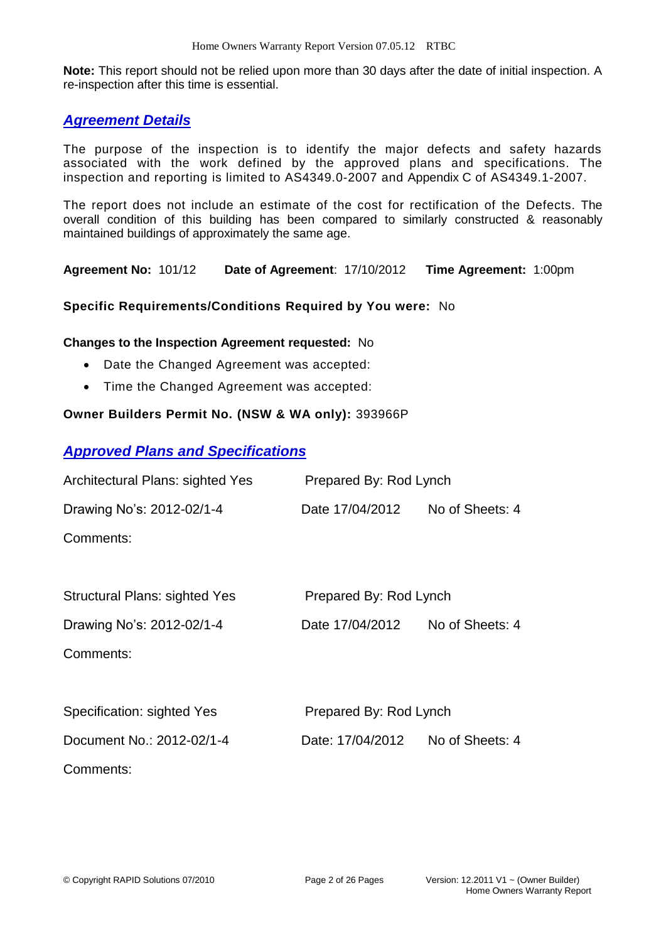**Note:** This report should not be relied upon more than 30 days after the date of initial inspection. A re-inspection after this time is essential.

### *Agreement Details*

The purpose of the inspection is to identify the major defects and safety hazards associated with the work defined by the approved plans and specifications. The inspection and reporting is limited to AS4349.0-2007 and Appendix C of AS4349.1-2007.

The report does not include an estimate of the cost for rectification of the Defects. The overall condition of this building has been compared to similarly constructed & reasonably maintained buildings of approximately the same age.

**Agreement No:** 101/12 **Date of Agreement**: 17/10/2012 **Time Agreement:** 1:00pm

#### **Specific Requirements/Conditions Required by You were:** No

#### **Changes to the Inspection Agreement requested:** No

- Date the Changed Agreement was accepted:
- Time the Changed Agreement was accepted:

#### **Owner Builders Permit No. (NSW & WA only):** 393966P

### *Approved Plans and Specifications*

| Architectural Plans: sighted Yes | Prepared By: Rod Lynch |                 |
|----------------------------------|------------------------|-----------------|
| Drawing No's: 2012-02/1-4        | Date 17/04/2012        | No of Sheets: 4 |
| Comments:                        |                        |                 |

| <b>Structural Plans: sighted Yes</b> | Prepared By: Rod Lynch |                 |  |
|--------------------------------------|------------------------|-----------------|--|
| Drawing No's: 2012-02/1-4            | Date 17/04/2012        | No of Sheets: 4 |  |

Comments:

| Specification: sighted Yes | Prepared By: Rod Lynch |                 |  |
|----------------------------|------------------------|-----------------|--|
| Document No.: 2012-02/1-4  | Date: 17/04/2012       | No of Sheets: 4 |  |
| Comments:                  |                        |                 |  |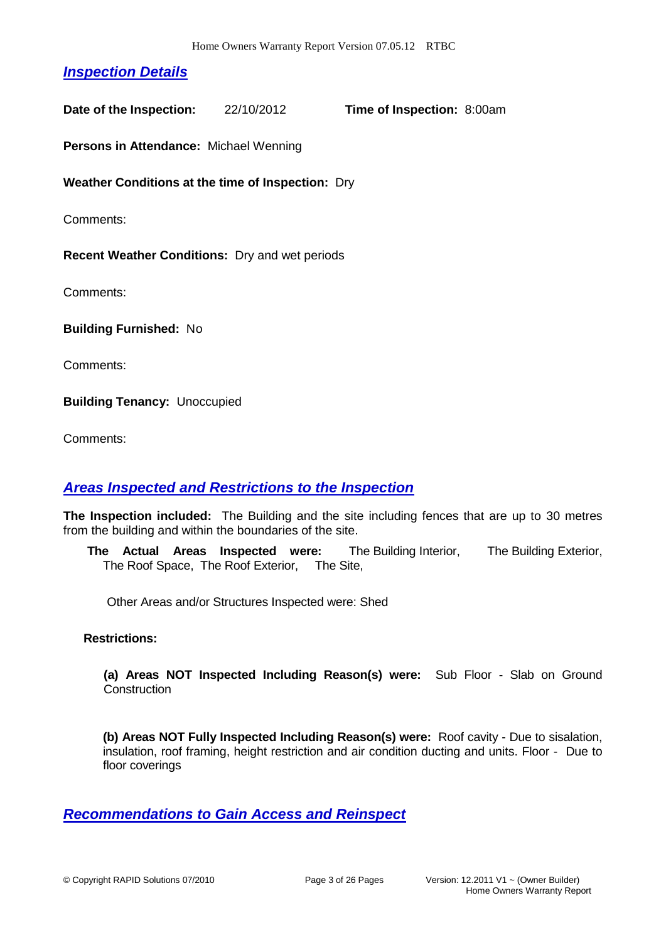# *Inspection Details*

**Date of the Inspection:** 22/10/2012 **Time of Inspection:** 8:00am

**Persons in Attendance:** Michael Wenning

**Weather Conditions at the time of Inspection:** Dry

Comments:

**Recent Weather Conditions:** Dry and wet periods

Comments:

**Building Furnished:** No

Comments:

**Building Tenancy:** Unoccupied

Comments:

#### *Areas Inspected and Restrictions to the Inspection*

**The Inspection included:** The Building and the site including fences that are up to 30 metres from the building and within the boundaries of the site.

**The Actual Areas Inspected were:** The Building Interior, The Building Exterior, The Roof Space, The Roof Exterior, The Site,

Other Areas and/or Structures Inspected were: Shed

#### **Restrictions:**

**(a) Areas NOT Inspected Including Reason(s) were:** Sub Floor - Slab on Ground **Construction** 

**(b) Areas NOT Fully Inspected Including Reason(s) were:** Roof cavity - Due to sisalation, insulation, roof framing, height restriction and air condition ducting and units. Floor - Due to floor coverings

#### *Recommendations to Gain Access and Reinspect*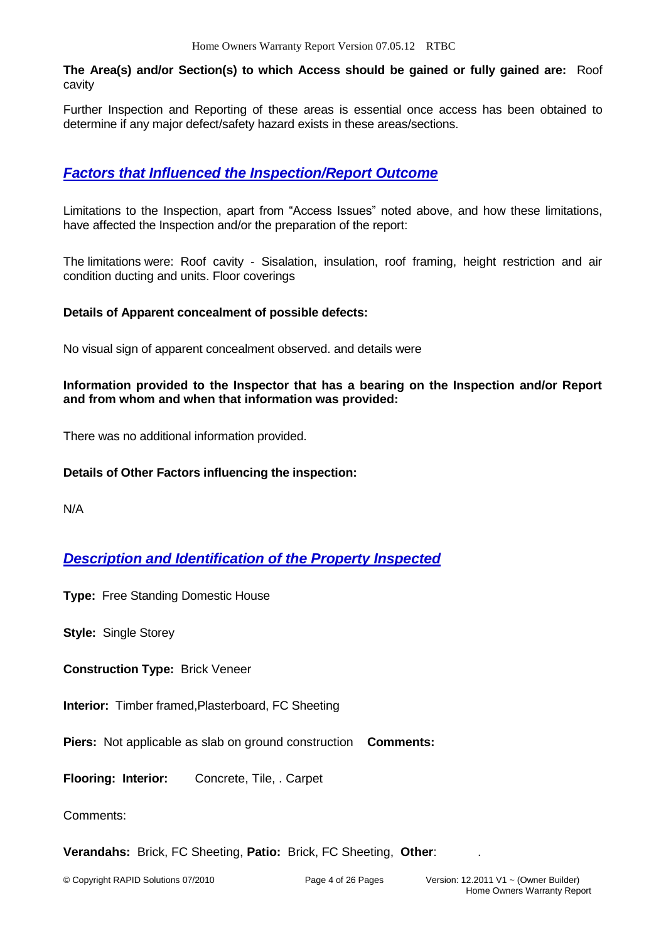**The Area(s) and/or Section(s) to which Access should be gained or fully gained are:** Roof cavity

Further Inspection and Reporting of these areas is essential once access has been obtained to determine if any major defect/safety hazard exists in these areas/sections.

## *Factors that Influenced the Inspection/Report Outcome*

Limitations to the Inspection, apart from "Access Issues" noted above, and how these limitations, have affected the Inspection and/or the preparation of the report:

The limitations were: Roof cavity - Sisalation, insulation, roof framing, height restriction and air condition ducting and units. Floor coverings

#### **Details of Apparent concealment of possible defects:**

No visual sign of apparent concealment observed. and details were

#### **Information provided to the Inspector that has a bearing on the Inspection and/or Report and from whom and when that information was provided:**

There was no additional information provided.

#### **Details of Other Factors influencing the inspection:**

N/A

### *Description and Identification of the Property Inspected*

**Type:** Free Standing Domestic House

**Style:** Single Storey

**Construction Type:** Brick Veneer

**Interior:** Timber framed,Plasterboard, FC Sheeting

**Piers:** Not applicable as slab on ground construction **Comments:**

**Flooring: Interior:** Concrete, Tile, . Carpet

Comments:

**Verandahs:** Brick, FC Sheeting, **Patio:** Brick, FC Sheeting, **Other**: .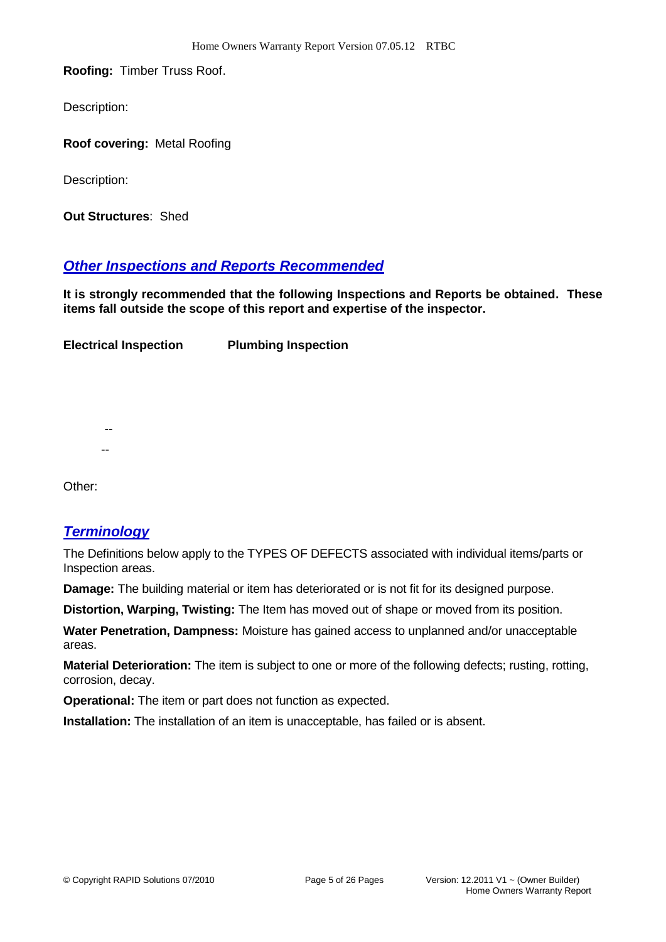**Roofing:** Timber Truss Roof.

Description:

**Roof covering:** Metal Roofing

Description:

**Out Structures**: Shed

### *Other Inspections and Reports Recommended*

**It is strongly recommended that the following Inspections and Reports be obtained. These items fall outside the scope of this report and expertise of the inspector.**

**Electrical Inspection Plumbing Inspection** 

Other:

 -- --

#### *Terminology*

The Definitions below apply to the TYPES OF DEFECTS associated with individual items/parts or Inspection areas.

**Damage:** The building material or item has deteriorated or is not fit for its designed purpose.

**Distortion, Warping, Twisting:** The Item has moved out of shape or moved from its position.

**Water Penetration, Dampness:** Moisture has gained access to unplanned and/or unacceptable areas.

**Material Deterioration:** The item is subject to one or more of the following defects; rusting, rotting, corrosion, decay.

**Operational:** The item or part does not function as expected.

**Installation:** The installation of an item is unacceptable, has failed or is absent.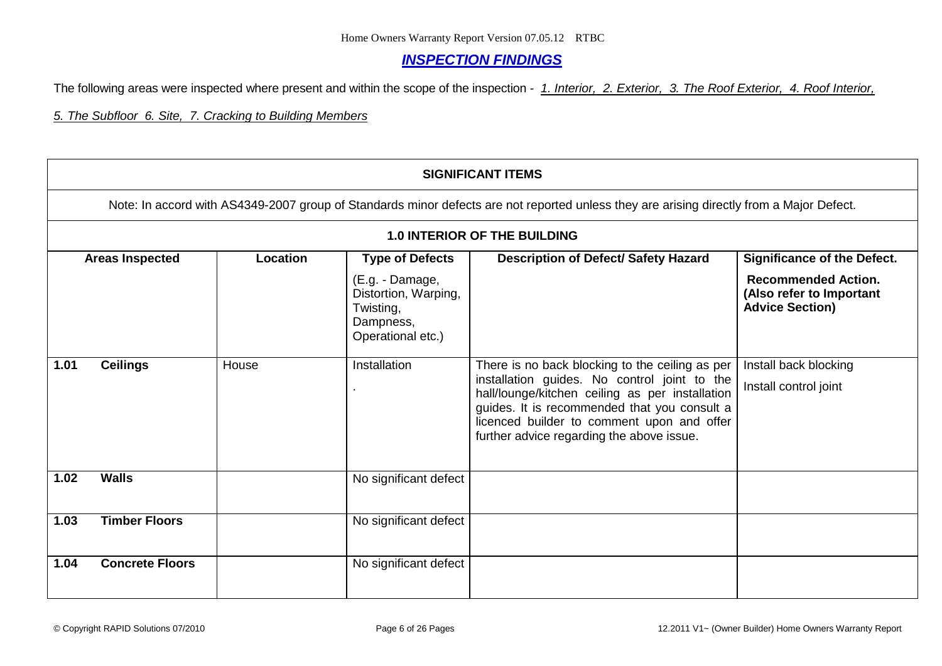### *INSPECTION FINDINGS*

The following areas were inspected where present and within the scope of the inspection - *1. Interior, 2. Exterior, 3. The Roof Exterior, 4. Roof Interior,* 

*5. The Subfloor 6. Site, 7. Cracking to Building Members*

|                                                                                        | <b>SIGNIFICANT ITEMS</b>                                                                                                                 |                 |                        |                                                                                                                                                                                                                                            |                                                                                  |  |  |
|----------------------------------------------------------------------------------------|------------------------------------------------------------------------------------------------------------------------------------------|-----------------|------------------------|--------------------------------------------------------------------------------------------------------------------------------------------------------------------------------------------------------------------------------------------|----------------------------------------------------------------------------------|--|--|
|                                                                                        | Note: In accord with AS4349-2007 group of Standards minor defects are not reported unless they are arising directly from a Major Defect. |                 |                        |                                                                                                                                                                                                                                            |                                                                                  |  |  |
|                                                                                        |                                                                                                                                          |                 |                        | <b>1.0 INTERIOR OF THE BUILDING</b>                                                                                                                                                                                                        |                                                                                  |  |  |
|                                                                                        | <b>Areas Inspected</b>                                                                                                                   | <b>Location</b> | <b>Type of Defects</b> | <b>Description of Defect/ Safety Hazard</b>                                                                                                                                                                                                | <b>Significance of the Defect.</b>                                               |  |  |
| (E.g. - Damage,<br>Distortion, Warping,<br>Twisting,<br>Dampness,<br>Operational etc.) |                                                                                                                                          |                 |                        |                                                                                                                                                                                                                                            | <b>Recommended Action.</b><br>(Also refer to Important<br><b>Advice Section)</b> |  |  |
| 1.01                                                                                   | <b>Ceilings</b>                                                                                                                          | House           | <b>Installation</b>    | There is no back blocking to the ceiling as per                                                                                                                                                                                            | Install back blocking                                                            |  |  |
|                                                                                        |                                                                                                                                          |                 |                        | installation guides. No control joint to the<br>hall/lounge/kitchen ceiling as per installation<br>guides. It is recommended that you consult a<br>licenced builder to comment upon and offer<br>further advice regarding the above issue. | Install control joint                                                            |  |  |
| 1.02                                                                                   | <b>Walls</b>                                                                                                                             |                 | No significant defect  |                                                                                                                                                                                                                                            |                                                                                  |  |  |
| 1.03                                                                                   | <b>Timber Floors</b>                                                                                                                     |                 | No significant defect  |                                                                                                                                                                                                                                            |                                                                                  |  |  |
| 1.04                                                                                   | <b>Concrete Floors</b>                                                                                                                   |                 | No significant defect  |                                                                                                                                                                                                                                            |                                                                                  |  |  |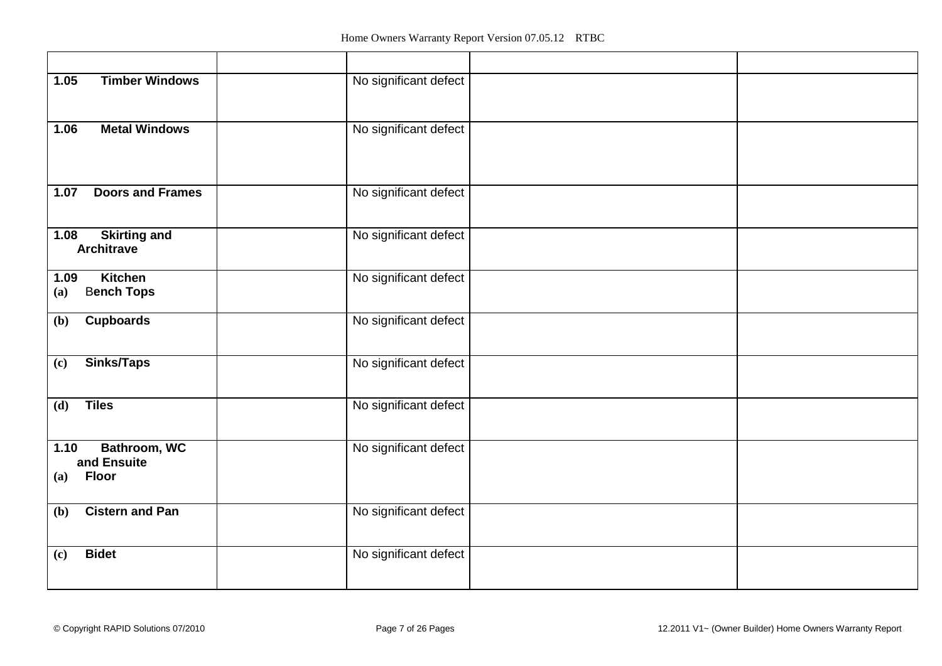| <b>Timber Windows</b><br>1.05                              | No significant defect |
|------------------------------------------------------------|-----------------------|
| <b>Metal Windows</b><br>1.06                               | No significant defect |
| <b>Doors and Frames</b><br>1.07                            | No significant defect |
| <b>Skirting and</b><br>1.08<br><b>Architrave</b>           | No significant defect |
| <b>Kitchen</b><br>1.09<br><b>Bench Tops</b><br>(a)         | No significant defect |
| <b>Cupboards</b><br>(b)                                    | No significant defect |
| <b>Sinks/Taps</b><br>(c)                                   | No significant defect |
| <b>Tiles</b><br>(d)                                        | No significant defect |
| Bathroom, WC<br>1.10<br>and Ensuite<br><b>Floor</b><br>(a) | No significant defect |
| <b>Cistern and Pan</b><br>(b)                              | No significant defect |
| <b>Bidet</b><br>(c)                                        | No significant defect |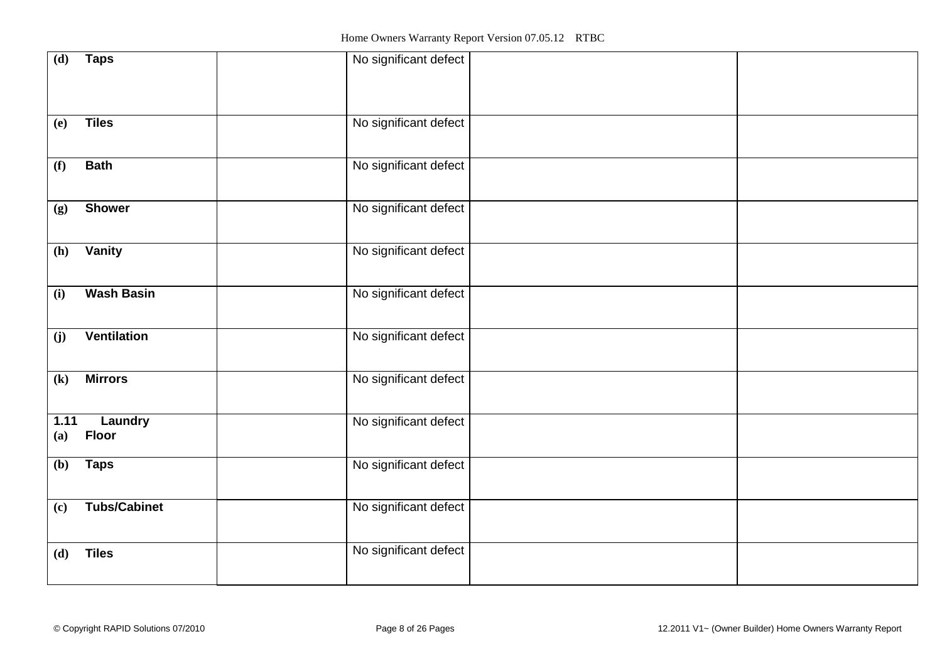| (d)                        | <b>Taps</b>         | No significant defect |  |
|----------------------------|---------------------|-----------------------|--|
|                            |                     |                       |  |
|                            |                     |                       |  |
|                            |                     |                       |  |
|                            |                     |                       |  |
| (e)                        | <b>Tiles</b>        | No significant defect |  |
|                            |                     |                       |  |
|                            |                     |                       |  |
| (f)                        | <b>Bath</b>         | No significant defect |  |
|                            |                     |                       |  |
|                            |                     |                       |  |
| (g)                        | <b>Shower</b>       | No significant defect |  |
|                            |                     |                       |  |
|                            |                     |                       |  |
| (h)                        | Vanity              | No significant defect |  |
|                            |                     |                       |  |
|                            |                     |                       |  |
| (i)                        | <b>Wash Basin</b>   | No significant defect |  |
|                            |                     |                       |  |
|                            |                     |                       |  |
| (j)                        | <b>Ventilation</b>  | No significant defect |  |
|                            |                     |                       |  |
|                            |                     |                       |  |
| $\left( \mathbf{k}\right)$ | <b>Mirrors</b>      | No significant defect |  |
|                            |                     |                       |  |
|                            |                     |                       |  |
| 1.11                       | Laundry             | No significant defect |  |
| (a)                        | <b>Floor</b>        |                       |  |
|                            |                     |                       |  |
| (b)                        | <b>Taps</b>         | No significant defect |  |
|                            |                     |                       |  |
|                            |                     |                       |  |
| (c)                        | <b>Tubs/Cabinet</b> | No significant defect |  |
|                            |                     |                       |  |
|                            |                     |                       |  |
| (d)                        | <b>Tiles</b>        | No significant defect |  |
|                            |                     |                       |  |
|                            |                     |                       |  |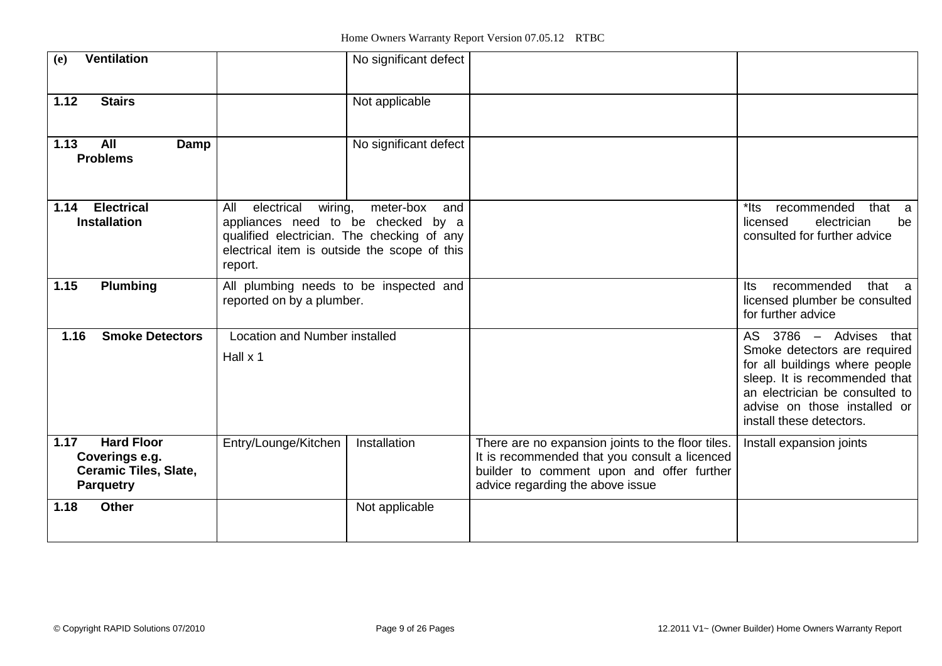| <b>Ventilation</b><br>(e)                                                                       |                                                                                                                                                                             | No significant defect |                                                                                                                                                                                     |                                                                                                                                                                                                                         |
|-------------------------------------------------------------------------------------------------|-----------------------------------------------------------------------------------------------------------------------------------------------------------------------------|-----------------------|-------------------------------------------------------------------------------------------------------------------------------------------------------------------------------------|-------------------------------------------------------------------------------------------------------------------------------------------------------------------------------------------------------------------------|
| 1.12<br><b>Stairs</b>                                                                           |                                                                                                                                                                             | Not applicable        |                                                                                                                                                                                     |                                                                                                                                                                                                                         |
| 1.13<br>All<br>Damp<br><b>Problems</b>                                                          |                                                                                                                                                                             | No significant defect |                                                                                                                                                                                     |                                                                                                                                                                                                                         |
| <b>Electrical</b><br>1.14<br><b>Installation</b>                                                | All<br>electrical<br>wiring,<br>appliances need to be checked by a<br>qualified electrician. The checking of any<br>electrical item is outside the scope of this<br>report. | meter-box<br>and      |                                                                                                                                                                                     | *lts<br>recommended<br>that a<br>electrician<br>licensed<br>be<br>consulted for further advice                                                                                                                          |
| 1.15<br><b>Plumbing</b>                                                                         | All plumbing needs to be inspected and<br>reported on by a plumber.                                                                                                         |                       |                                                                                                                                                                                     | recommended<br>that a<br>Its<br>licensed plumber be consulted<br>for further advice                                                                                                                                     |
| 1.16<br><b>Smoke Detectors</b>                                                                  | Location and Number installed<br>Hall x 1                                                                                                                                   |                       |                                                                                                                                                                                     | AS 3786 - Advises that<br>Smoke detectors are required<br>for all buildings where people<br>sleep. It is recommended that<br>an electrician be consulted to<br>advise on those installed or<br>install these detectors. |
| <b>Hard Floor</b><br>1.17<br>Coverings e.g.<br><b>Ceramic Tiles, Slate,</b><br><b>Parquetry</b> | Entry/Lounge/Kitchen                                                                                                                                                        | Installation          | There are no expansion joints to the floor tiles.<br>It is recommended that you consult a licenced<br>builder to comment upon and offer further<br>advice regarding the above issue | Install expansion joints                                                                                                                                                                                                |
| 1.18<br><b>Other</b>                                                                            |                                                                                                                                                                             | Not applicable        |                                                                                                                                                                                     |                                                                                                                                                                                                                         |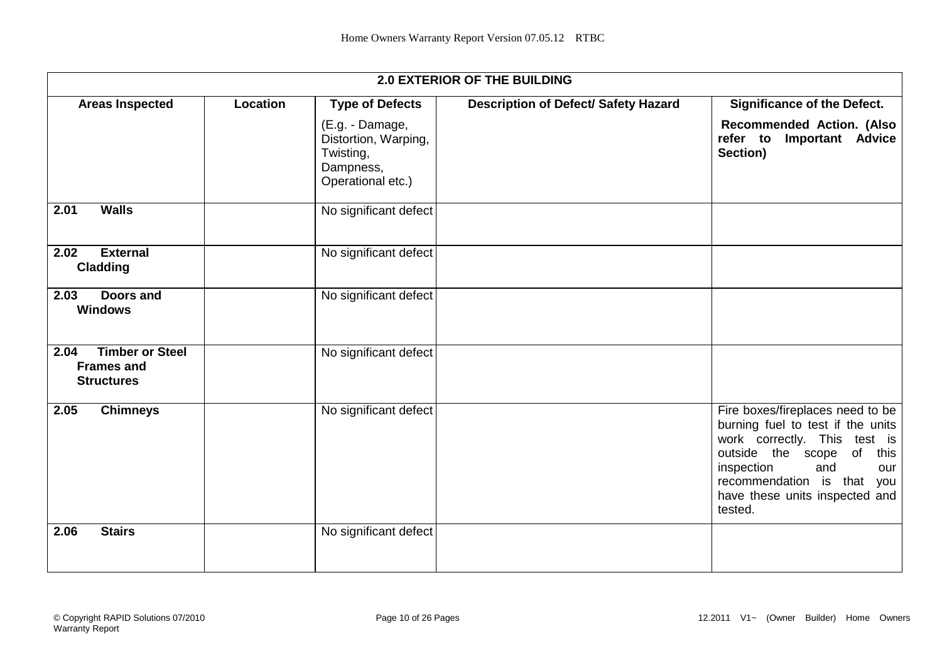|                                                                          |                 |                                                                                        | <b>2.0 EXTERIOR OF THE BUILDING</b>  |                                                                                                                                                                                                                                              |
|--------------------------------------------------------------------------|-----------------|----------------------------------------------------------------------------------------|--------------------------------------|----------------------------------------------------------------------------------------------------------------------------------------------------------------------------------------------------------------------------------------------|
| <b>Areas Inspected</b>                                                   | <b>Location</b> | <b>Type of Defects</b>                                                                 | Description of Defect/ Safety Hazard | <b>Significance of the Defect.</b>                                                                                                                                                                                                           |
|                                                                          |                 | (E.g. - Damage,<br>Distortion, Warping,<br>Twisting,<br>Dampness,<br>Operational etc.) |                                      | Recommended Action. (Also<br><b>Important Advice</b><br>refer to<br>Section)                                                                                                                                                                 |
| <b>Walls</b><br>2.01                                                     |                 | No significant defect                                                                  |                                      |                                                                                                                                                                                                                                              |
| <b>External</b><br>2.02<br><b>Cladding</b>                               |                 | No significant defect                                                                  |                                      |                                                                                                                                                                                                                                              |
| 2.03<br>Doors and<br><b>Windows</b>                                      |                 | No significant defect                                                                  |                                      |                                                                                                                                                                                                                                              |
| <b>Timber or Steel</b><br>2.04<br><b>Frames and</b><br><b>Structures</b> |                 | No significant defect                                                                  |                                      |                                                                                                                                                                                                                                              |
| 2.05<br><b>Chimneys</b>                                                  |                 | No significant defect                                                                  |                                      | Fire boxes/fireplaces need to be<br>burning fuel to test if the units<br>work correctly. This test is<br>outside the scope of<br>this<br>inspection<br>and<br>our<br>recommendation is that you<br>have these units inspected and<br>tested. |
| <b>Stairs</b><br>2.06                                                    |                 | No significant defect                                                                  |                                      |                                                                                                                                                                                                                                              |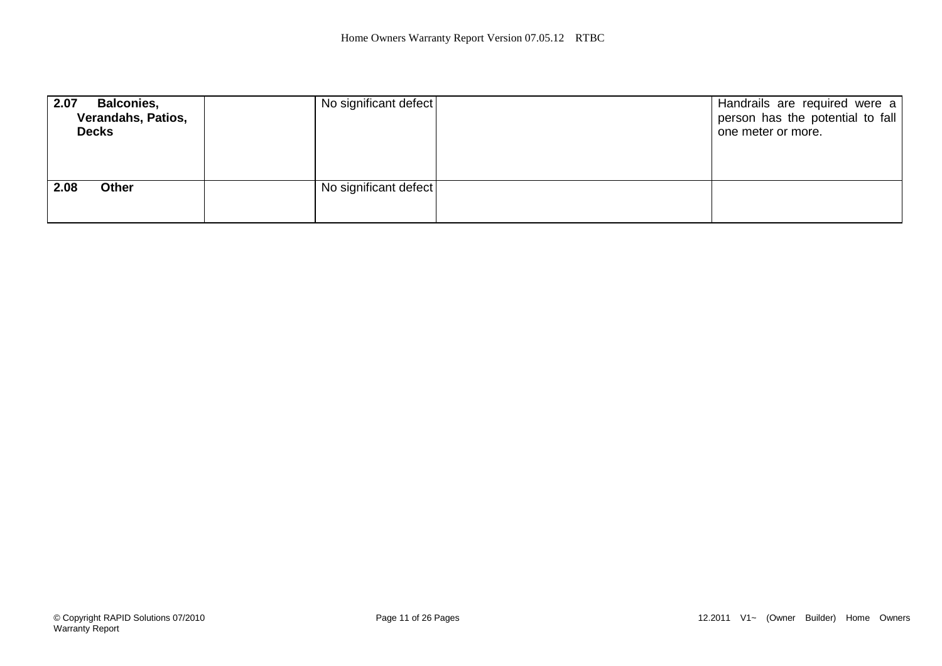| 2.07<br><b>Balconies,</b><br>Verandahs, Patios,<br><b>Decks</b> | No significant defect | Handrails are required were a  <br>person has the potential to fall<br>one meter or more. |
|-----------------------------------------------------------------|-----------------------|-------------------------------------------------------------------------------------------|
| 2.08<br><b>Other</b>                                            | No significant defect |                                                                                           |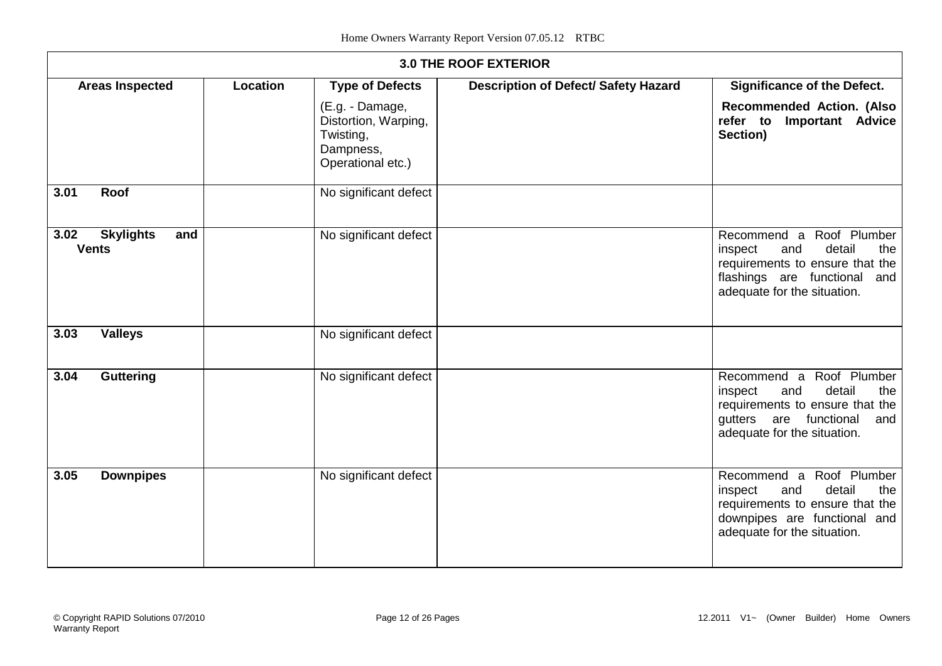|      |                                         |          |                                                                                        | <b>3.0 THE ROOF EXTERIOR</b>                |                                                                                                                                                                |
|------|-----------------------------------------|----------|----------------------------------------------------------------------------------------|---------------------------------------------|----------------------------------------------------------------------------------------------------------------------------------------------------------------|
|      | <b>Areas Inspected</b>                  | Location | <b>Type of Defects</b>                                                                 | <b>Description of Defect/ Safety Hazard</b> | <b>Significance of the Defect.</b>                                                                                                                             |
|      |                                         |          | (E.g. - Damage,<br>Distortion, Warping,<br>Twisting,<br>Dampness,<br>Operational etc.) |                                             | <b>Recommended Action. (Also</b><br><b>Important Advice</b><br>refer to<br>Section)                                                                            |
| 3.01 | Roof                                    |          | No significant defect                                                                  |                                             |                                                                                                                                                                |
| 3.02 | <b>Skylights</b><br>and<br><b>Vents</b> |          | No significant defect                                                                  |                                             | Recommend a Roof Plumber<br>detail<br>and<br>inspect<br>the<br>requirements to ensure that the<br>flashings are functional and<br>adequate for the situation.  |
| 3.03 | <b>Valleys</b>                          |          | No significant defect                                                                  |                                             |                                                                                                                                                                |
| 3.04 | <b>Guttering</b>                        |          | No significant defect                                                                  |                                             | Recommend a Roof Plumber<br>detail<br>inspect<br>and<br>the<br>requirements to ensure that the<br>gutters are functional<br>and<br>adequate for the situation. |
| 3.05 | <b>Downpipes</b>                        |          | No significant defect                                                                  |                                             | Recommend a Roof Plumber<br>detail<br>and<br>inspect<br>the<br>requirements to ensure that the<br>downpipes are functional and<br>adequate for the situation.  |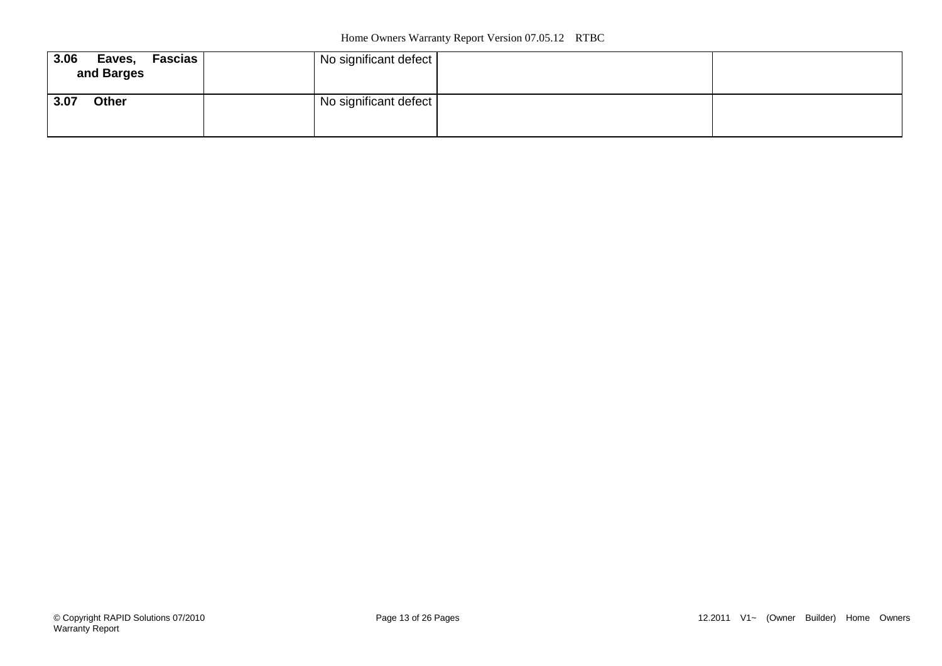| 3.06<br><b>Fascias</b><br>Eaves,<br>and Barges | No significant defect |  |
|------------------------------------------------|-----------------------|--|
| 3.07<br>Other                                  | No significant defect |  |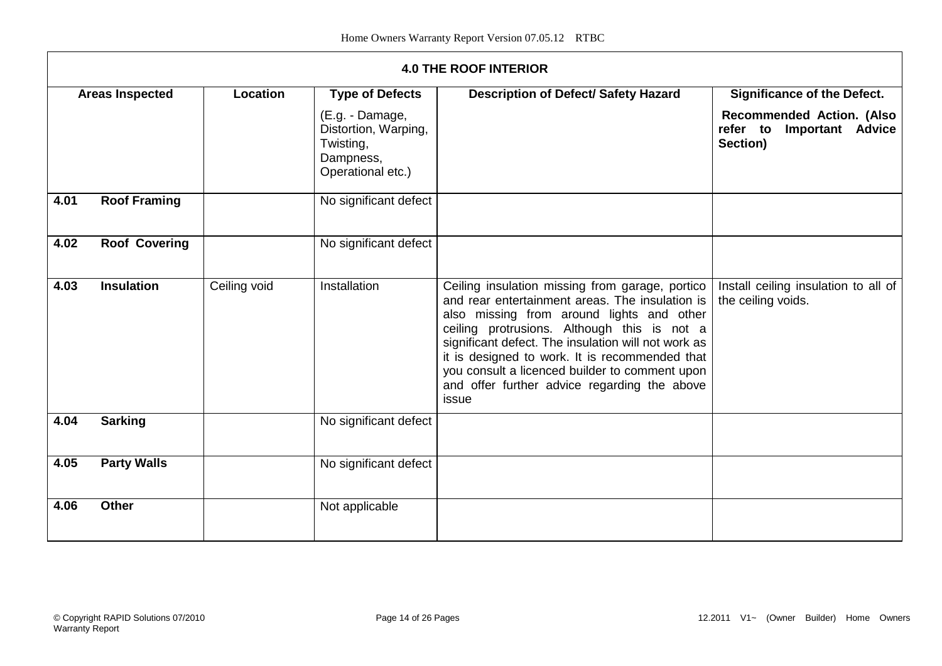|      | <b>4.0 THE ROOF INTERIOR</b> |                 |                                                                                        |                                                                                                                                                                                                                                                                                                                                                                                                                    |                                                                    |  |
|------|------------------------------|-----------------|----------------------------------------------------------------------------------------|--------------------------------------------------------------------------------------------------------------------------------------------------------------------------------------------------------------------------------------------------------------------------------------------------------------------------------------------------------------------------------------------------------------------|--------------------------------------------------------------------|--|
|      | <b>Areas Inspected</b>       | <b>Location</b> | <b>Type of Defects</b>                                                                 | <b>Description of Defect/ Safety Hazard</b>                                                                                                                                                                                                                                                                                                                                                                        | <b>Significance of the Defect.</b>                                 |  |
|      |                              |                 | (E.g. - Damage,<br>Distortion, Warping,<br>Twisting,<br>Dampness,<br>Operational etc.) |                                                                                                                                                                                                                                                                                                                                                                                                                    | Recommended Action. (Also<br>refer to Important Advice<br>Section) |  |
| 4.01 | <b>Roof Framing</b>          |                 | No significant defect                                                                  |                                                                                                                                                                                                                                                                                                                                                                                                                    |                                                                    |  |
| 4.02 | <b>Roof Covering</b>         |                 | No significant defect                                                                  |                                                                                                                                                                                                                                                                                                                                                                                                                    |                                                                    |  |
| 4.03 | <b>Insulation</b>            | Ceiling void    | Installation                                                                           | Ceiling insulation missing from garage, portico<br>and rear entertainment areas. The insulation is<br>also missing from around lights and other<br>ceiling protrusions. Although this is not a<br>significant defect. The insulation will not work as<br>it is designed to work. It is recommended that<br>you consult a licenced builder to comment upon<br>and offer further advice regarding the above<br>issue | Install ceiling insulation to all of<br>the ceiling voids.         |  |
| 4.04 | <b>Sarking</b>               |                 | No significant defect                                                                  |                                                                                                                                                                                                                                                                                                                                                                                                                    |                                                                    |  |
| 4.05 | <b>Party Walls</b>           |                 | No significant defect                                                                  |                                                                                                                                                                                                                                                                                                                                                                                                                    |                                                                    |  |
| 4.06 | <b>Other</b>                 |                 | Not applicable                                                                         |                                                                                                                                                                                                                                                                                                                                                                                                                    |                                                                    |  |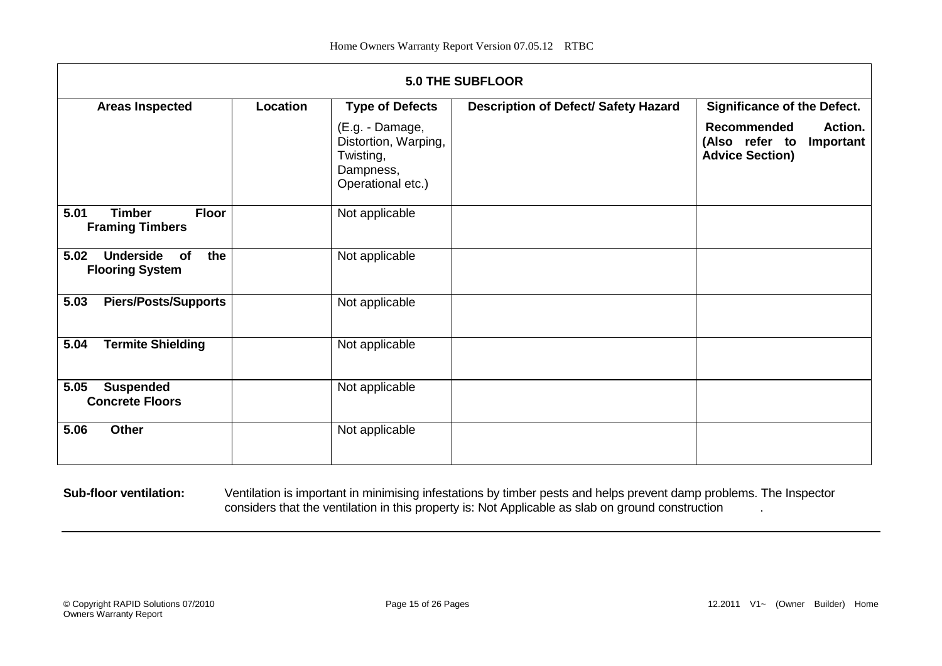|                                                                 | <b>5.0 THE SUBFLOOR</b> |                                                                                        |                                      |                                                                                        |  |  |
|-----------------------------------------------------------------|-------------------------|----------------------------------------------------------------------------------------|--------------------------------------|----------------------------------------------------------------------------------------|--|--|
| <b>Areas Inspected</b>                                          | Location                | <b>Type of Defects</b>                                                                 | Description of Defect/ Safety Hazard | <b>Significance of the Defect.</b>                                                     |  |  |
|                                                                 |                         | (E.g. - Damage,<br>Distortion, Warping,<br>Twisting,<br>Dampness,<br>Operational etc.) |                                      | <b>Recommended</b><br>Action.<br>(Also refer to<br>Important<br><b>Advice Section)</b> |  |  |
| <b>Timber</b><br><b>Floor</b><br>5.01<br><b>Framing Timbers</b> |                         | Not applicable                                                                         |                                      |                                                                                        |  |  |
| <b>Underside</b><br>the<br>5.02<br>of<br><b>Flooring System</b> |                         | Not applicable                                                                         |                                      |                                                                                        |  |  |
| 5.03<br><b>Piers/Posts/Supports</b>                             |                         | Not applicable                                                                         |                                      |                                                                                        |  |  |
| <b>Termite Shielding</b><br>5.04                                |                         | Not applicable                                                                         |                                      |                                                                                        |  |  |
| 5.05<br><b>Suspended</b><br><b>Concrete Floors</b>              |                         | Not applicable                                                                         |                                      |                                                                                        |  |  |
| Other<br>5.06                                                   |                         | Not applicable                                                                         |                                      |                                                                                        |  |  |

**Sub-floor ventilation:** Ventilation is important in minimising infestations by timber pests and helps prevent damp problems. The Inspector considers that the ventilation in this property is: Not Applicable as slab on ground construction .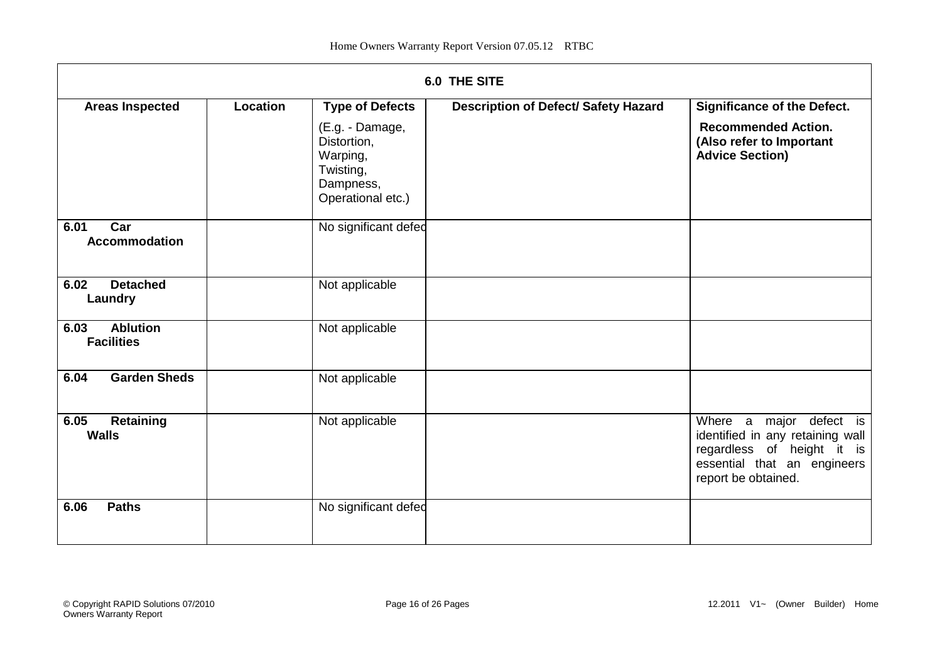|                                              |                 |                                                                                           | <b>6.0 THE SITE</b>                  |                                                                                                                                                 |
|----------------------------------------------|-----------------|-------------------------------------------------------------------------------------------|--------------------------------------|-------------------------------------------------------------------------------------------------------------------------------------------------|
| <b>Areas Inspected</b>                       | <b>Location</b> | <b>Type of Defects</b>                                                                    | Description of Defect/ Safety Hazard | <b>Significance of the Defect.</b>                                                                                                              |
|                                              |                 | (E.g. - Damage,<br>Distortion,<br>Warping,<br>Twisting,<br>Dampness,<br>Operational etc.) |                                      | <b>Recommended Action.</b><br>(Also refer to Important<br><b>Advice Section)</b>                                                                |
| Car<br>6.01<br><b>Accommodation</b>          |                 | No significant defed                                                                      |                                      |                                                                                                                                                 |
| <b>Detached</b><br>6.02<br>Laundry           |                 | Not applicable                                                                            |                                      |                                                                                                                                                 |
| <b>Ablution</b><br>6.03<br><b>Facilities</b> |                 | Not applicable                                                                            |                                      |                                                                                                                                                 |
| <b>Garden Sheds</b><br>6.04                  |                 | Not applicable                                                                            |                                      |                                                                                                                                                 |
| 6.05<br>Retaining<br><b>Walls</b>            |                 | Not applicable                                                                            |                                      | Where a major defect is<br>identified in any retaining wall<br>regardless of height it is<br>essential that an engineers<br>report be obtained. |
| <b>Paths</b><br>6.06                         |                 | No significant defed                                                                      |                                      |                                                                                                                                                 |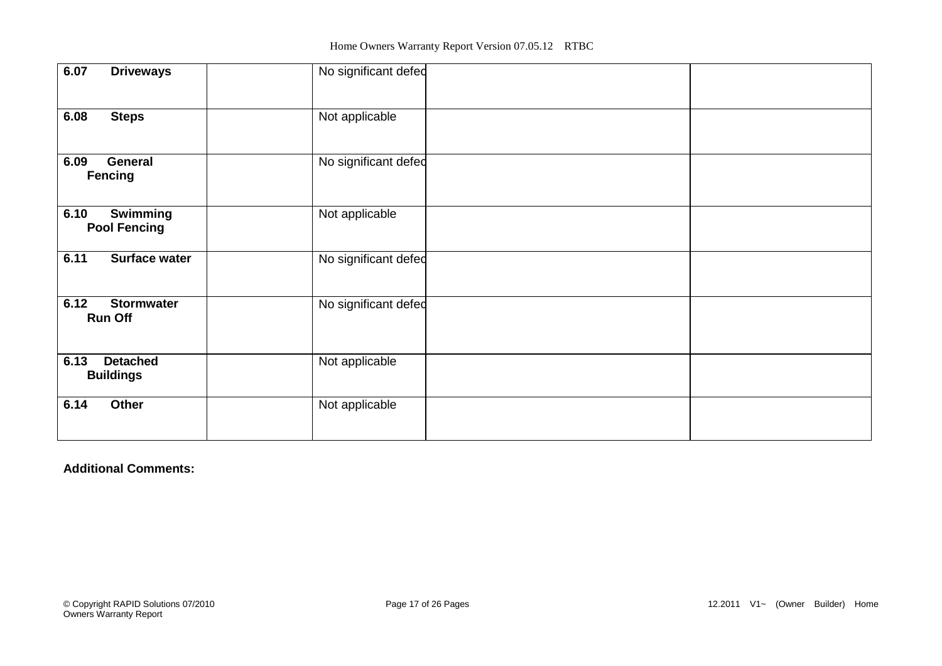| 6.07<br><b>Driveways</b>                       | No significant defec |  |
|------------------------------------------------|----------------------|--|
| 6.08<br><b>Steps</b>                           | Not applicable       |  |
| 6.09<br><b>General</b><br><b>Fencing</b>       | No significant defed |  |
| <b>Swimming</b><br>6.10<br><b>Pool Fencing</b> | Not applicable       |  |
| 6.11<br><b>Surface water</b>                   | No significant defed |  |
| 6.12<br><b>Stormwater</b><br><b>Run Off</b>    | No significant defec |  |
| <b>Detached</b><br>6.13<br><b>Buildings</b>    | Not applicable       |  |
| Other<br>6.14                                  | Not applicable       |  |

### **Additional Comments:**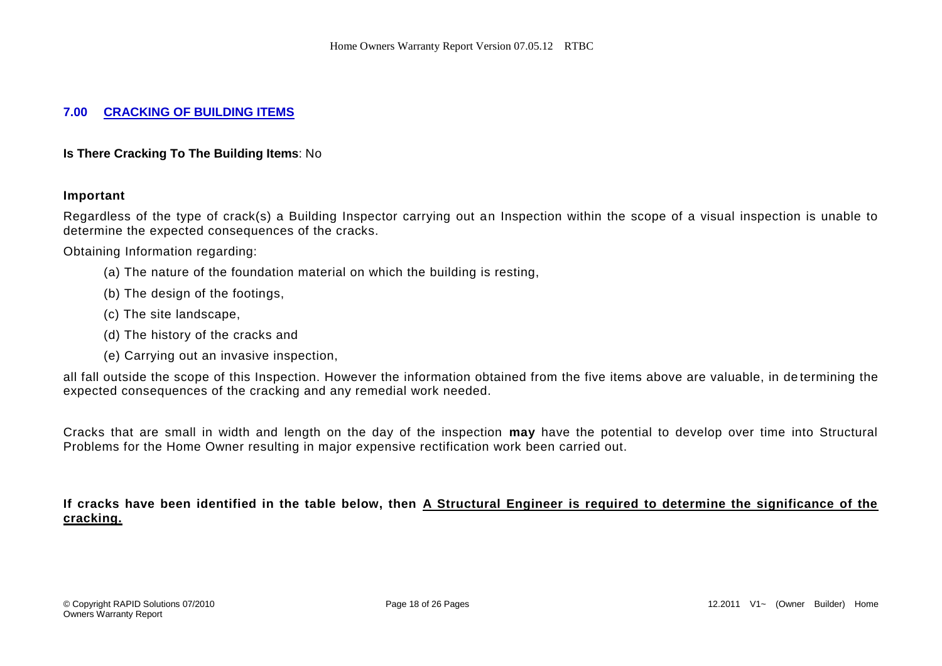#### **7.00 CRACKING OF BUILDING ITEMS**

**Is There Cracking To The Building Items**: No

#### **Important**

Regardless of the type of crack(s) a Building Inspector carrying out an Inspection within the scope of a visual inspection is unable to determine the expected consequences of the cracks.

Obtaining Information regarding:

- (a) The nature of the foundation material on which the building is resting,
- (b) The design of the footings,
- (c) The site landscape,
- (d) The history of the cracks and
- (e) Carrying out an invasive inspection,

all fall outside the scope of this Inspection. However the information obtained from the five items above are valuable, in de termining the expected consequences of the cracking and any remedial work needed.

Cracks that are small in width and length on the day of the inspection **may** have the potential to develop over time into Structural Problems for the Home Owner resulting in major expensive rectification work been carried out.

**If cracks have been identified in the table below, then A Structural Engineer is required to determine the significance of the cracking.**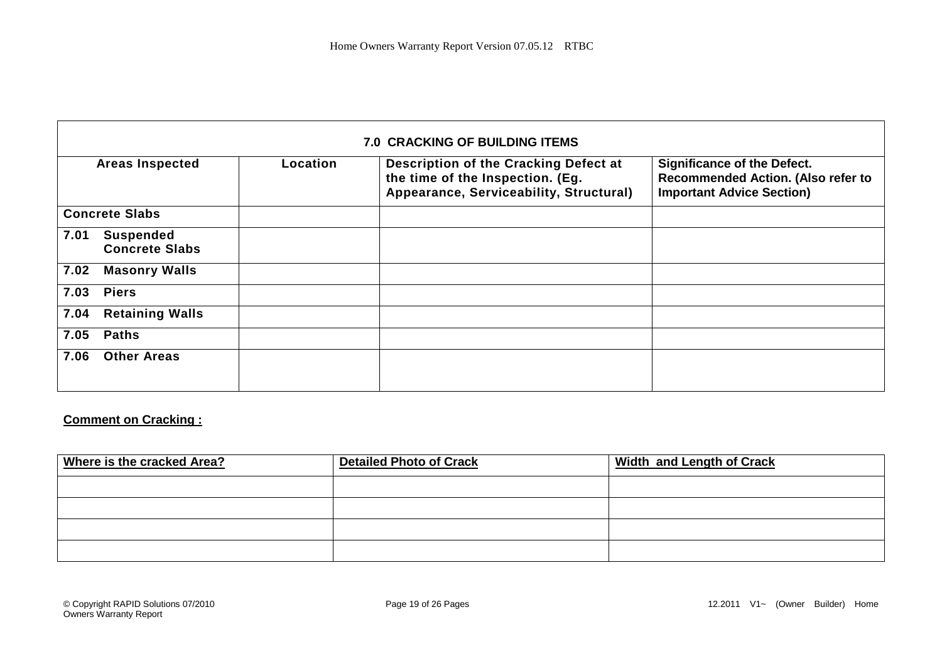|      |                                           |          | <b>7.0 CRACKING OF BUILDING ITEMS</b>                                                                                |                                                                                                              |
|------|-------------------------------------------|----------|----------------------------------------------------------------------------------------------------------------------|--------------------------------------------------------------------------------------------------------------|
|      | <b>Areas Inspected</b>                    | Location | Description of the Cracking Defect at<br>the time of the Inspection. (Eg.<br>Appearance, Serviceability, Structural) | <b>Significance of the Defect.</b><br>Recommended Action. (Also refer to<br><b>Important Advice Section)</b> |
|      | <b>Concrete Slabs</b>                     |          |                                                                                                                      |                                                                                                              |
| 7.01 | <b>Suspended</b><br><b>Concrete Slabs</b> |          |                                                                                                                      |                                                                                                              |
| 7.02 | <b>Masonry Walls</b>                      |          |                                                                                                                      |                                                                                                              |
| 7.03 | <b>Piers</b>                              |          |                                                                                                                      |                                                                                                              |
| 7.04 | <b>Retaining Walls</b>                    |          |                                                                                                                      |                                                                                                              |
| 7.05 | <b>Paths</b>                              |          |                                                                                                                      |                                                                                                              |
| 7.06 | <b>Other Areas</b>                        |          |                                                                                                                      |                                                                                                              |

### **Comment on Cracking :**

| Where is the cracked Area? | <b>Detailed Photo of Crack</b> | <b>Width and Length of Crack</b> |
|----------------------------|--------------------------------|----------------------------------|
|                            |                                |                                  |
|                            |                                |                                  |
|                            |                                |                                  |
|                            |                                |                                  |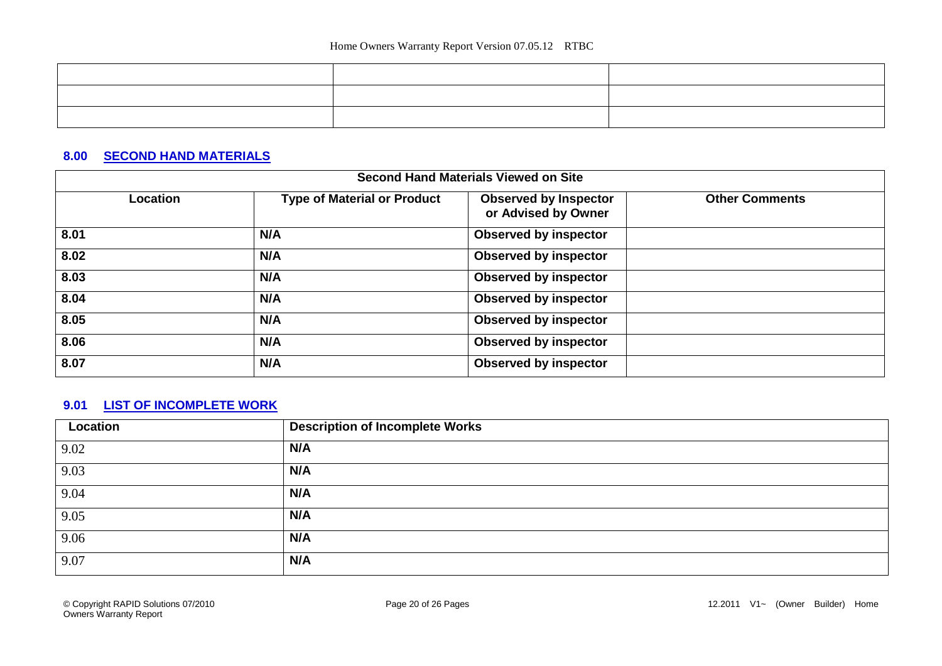| <u>experimental control of the control of the control of the control of the control of the control of the control of the control of the control of the control of the control of the control of the control of the control of th</u> |                                                                                                                      |  |
|--------------------------------------------------------------------------------------------------------------------------------------------------------------------------------------------------------------------------------------|----------------------------------------------------------------------------------------------------------------------|--|
|                                                                                                                                                                                                                                      | ,我们也不会有什么?""我们的,我们也不会有什么?""我们的,我们也不会有什么?""我们的,我们也不会有什么?""我们的,我们也不会有什么?""我们的,我们也不                                     |  |
|                                                                                                                                                                                                                                      | <u> 2001 - 2001 - 2002 - 2003 - 2004 - 2005 - 2006 - 2007 - 2008 - 2009 - 2009 - 2009 - 2009 - 2009 - 2009 - 200</u> |  |

### **8.00 SECOND HAND MATERIALS**

| <b>Second Hand Materials Viewed on Site</b> |                                    |                                                     |                       |  |
|---------------------------------------------|------------------------------------|-----------------------------------------------------|-----------------------|--|
| Location                                    | <b>Type of Material or Product</b> | <b>Observed by Inspector</b><br>or Advised by Owner | <b>Other Comments</b> |  |
| 8.01                                        | N/A                                | <b>Observed by inspector</b>                        |                       |  |
| 8.02                                        | N/A                                | <b>Observed by inspector</b>                        |                       |  |
| 8.03                                        | N/A                                | <b>Observed by inspector</b>                        |                       |  |
| 8.04                                        | N/A                                | <b>Observed by inspector</b>                        |                       |  |
| 8.05                                        | N/A                                | <b>Observed by inspector</b>                        |                       |  |
| 8.06                                        | N/A                                | <b>Observed by inspector</b>                        |                       |  |
| 8.07                                        | N/A                                | <b>Observed by inspector</b>                        |                       |  |

### **9.01 LIST OF INCOMPLETE WORK**

| Location | <b>Description of Incomplete Works</b> |
|----------|----------------------------------------|
| 9.02     | N/A                                    |
| 9.03     | N/A                                    |
| 9.04     | N/A                                    |
| 9.05     | N/A                                    |
| 9.06     | N/A                                    |
| 9.07     | N/A                                    |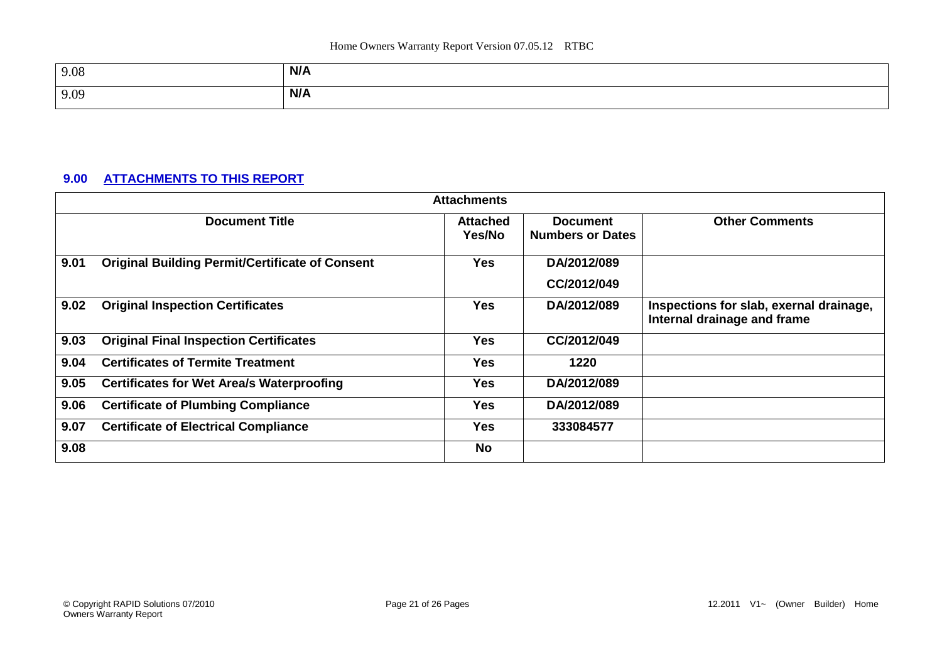| 9.08 | N/A |
|------|-----|
| 9.09 | N/A |

### **9.00 ATTACHMENTS TO THIS REPORT**

|      |                                                        | <b>Attachments</b>        |                                            |                                                                        |
|------|--------------------------------------------------------|---------------------------|--------------------------------------------|------------------------------------------------------------------------|
|      | <b>Document Title</b>                                  | <b>Attached</b><br>Yes/No | <b>Document</b><br><b>Numbers or Dates</b> | <b>Other Comments</b>                                                  |
| 9.01 | <b>Original Building Permit/Certificate of Consent</b> | <b>Yes</b>                | DA/2012/089                                |                                                                        |
|      |                                                        |                           | CC/2012/049                                |                                                                        |
| 9.02 | <b>Original Inspection Certificates</b>                | <b>Yes</b>                | DA/2012/089                                | Inspections for slab, exernal drainage,<br>Internal drainage and frame |
| 9.03 | <b>Original Final Inspection Certificates</b>          | <b>Yes</b>                | CC/2012/049                                |                                                                        |
| 9.04 | <b>Certificates of Termite Treatment</b>               | Yes                       | 1220                                       |                                                                        |
| 9.05 | <b>Certificates for Wet Area/s Waterproofing</b>       | <b>Yes</b>                | DA/2012/089                                |                                                                        |
| 9.06 | <b>Certificate of Plumbing Compliance</b>              | <b>Yes</b>                | DA/2012/089                                |                                                                        |
| 9.07 | <b>Certificate of Electrical Compliance</b>            | <b>Yes</b>                | 333084577                                  |                                                                        |
| 9.08 |                                                        | <b>No</b>                 |                                            |                                                                        |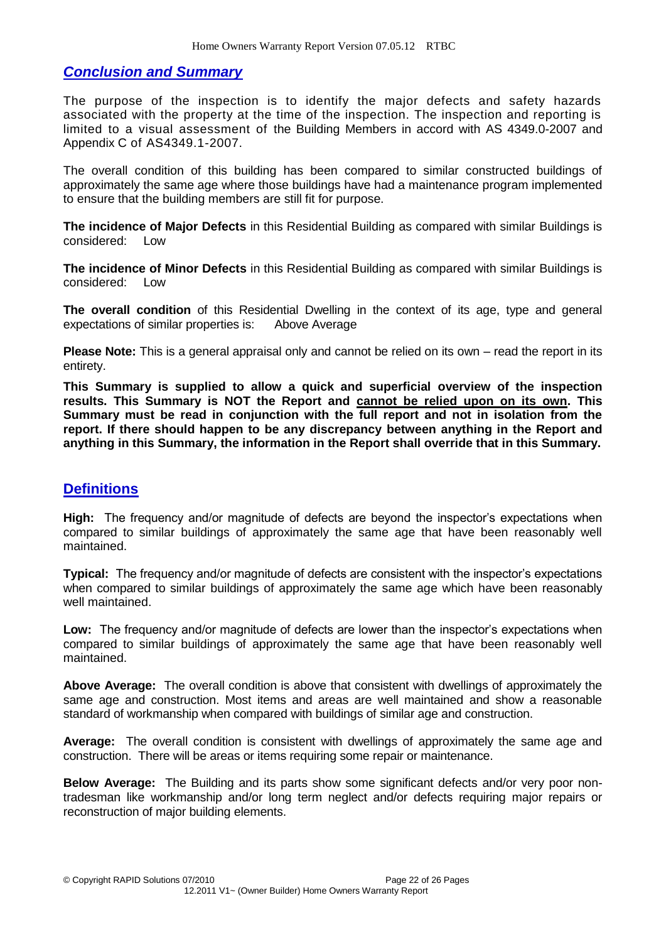### *Conclusion and Summary*

The purpose of the inspection is to identify the major defects and safety hazards associated with the property at the time of the inspection. The inspection and reporting is limited to a visual assessment of the Building Members in accord with AS 4349.0-2007 and Appendix C of AS4349.1-2007.

The overall condition of this building has been compared to similar constructed buildings of approximately the same age where those buildings have had a maintenance program implemented to ensure that the building members are still fit for purpose.

**The incidence of Major Defects** in this Residential Building as compared with similar Buildings is considered: Low

**The incidence of Minor Defects** in this Residential Building as compared with similar Buildings is considered: Low

**The overall condition** of this Residential Dwelling in the context of its age, type and general expectations of similar properties is: Above Average

**Please Note:** This is a general appraisal only and cannot be relied on its own – read the report in its entirety.

**This Summary is supplied to allow a quick and superficial overview of the inspection results. This Summary is NOT the Report and cannot be relied upon on its own. This Summary must be read in conjunction with the full report and not in isolation from the report. If there should happen to be any discrepancy between anything in the Report and anything in this Summary, the information in the Report shall override that in this Summary.**

### **Definitions**

**High:** The frequency and/or magnitude of defects are beyond the inspector's expectations when compared to similar buildings of approximately the same age that have been reasonably well maintained.

**Typical:** The frequency and/or magnitude of defects are consistent with the inspector's expectations when compared to similar buildings of approximately the same age which have been reasonably well maintained.

Low: The frequency and/or magnitude of defects are lower than the inspector's expectations when compared to similar buildings of approximately the same age that have been reasonably well maintained.

**Above Average:** The overall condition is above that consistent with dwellings of approximately the same age and construction. Most items and areas are well maintained and show a reasonable standard of workmanship when compared with buildings of similar age and construction.

**Average:** The overall condition is consistent with dwellings of approximately the same age and construction. There will be areas or items requiring some repair or maintenance.

**Below Average:** The Building and its parts show some significant defects and/or very poor nontradesman like workmanship and/or long term neglect and/or defects requiring major repairs or reconstruction of major building elements.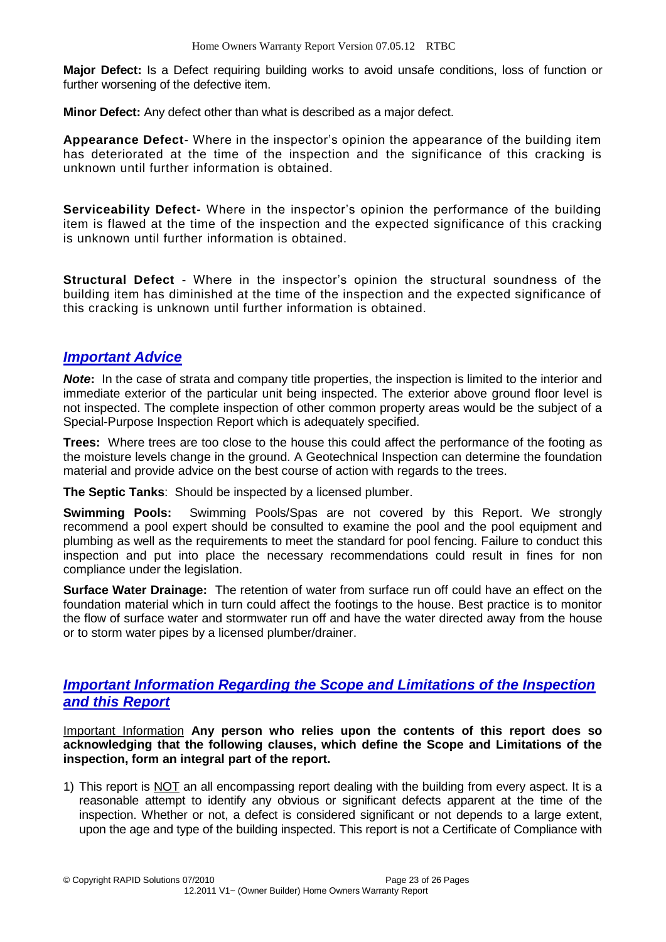**Major Defect:** Is a Defect requiring building works to avoid unsafe conditions, loss of function or further worsening of the defective item.

**Minor Defect:** Any defect other than what is described as a major defect.

**Appearance Defect**- Where in the inspector's opinion the appearance of the building item has deteriorated at the time of the inspection and the significance of this cracking is unknown until further information is obtained.

**Serviceability Defect-** Where in the inspector's opinion the performance of the building item is flawed at the time of the inspection and the expected significance of this cracking is unknown until further information is obtained.

**Structural Defect** - Where in the inspector's opinion the structural soundness of the building item has diminished at the time of the inspection and the expected significance of this cracking is unknown until further information is obtained.

### *Important Advice*

*Note*: In the case of strata and company title properties, the inspection is limited to the interior and immediate exterior of the particular unit being inspected. The exterior above ground floor level is not inspected. The complete inspection of other common property areas would be the subject of a Special-Purpose Inspection Report which is adequately specified.

**Trees:** Where trees are too close to the house this could affect the performance of the footing as the moisture levels change in the ground. A Geotechnical Inspection can determine the foundation material and provide advice on the best course of action with regards to the trees.

**The Septic Tanks**: Should be inspected by a licensed plumber.

**Swimming Pools:** Swimming Pools/Spas are not covered by this Report. We strongly recommend a pool expert should be consulted to examine the pool and the pool equipment and plumbing as well as the requirements to meet the standard for pool fencing. Failure to conduct this inspection and put into place the necessary recommendations could result in fines for non compliance under the legislation.

**Surface Water Drainage:** The retention of water from surface run off could have an effect on the foundation material which in turn could affect the footings to the house. Best practice is to monitor the flow of surface water and stormwater run off and have the water directed away from the house or to storm water pipes by a licensed plumber/drainer.

#### *Important Information Regarding the Scope and Limitations of the Inspection and this Report*

Important Information **Any person who relies upon the contents of this report does so acknowledging that the following clauses, which define the Scope and Limitations of the inspection, form an integral part of the report.** 

1) This report is NOT an all encompassing report dealing with the building from every aspect. It is a reasonable attempt to identify any obvious or significant defects apparent at the time of the inspection. Whether or not, a defect is considered significant or not depends to a large extent, upon the age and type of the building inspected. This report is not a Certificate of Compliance with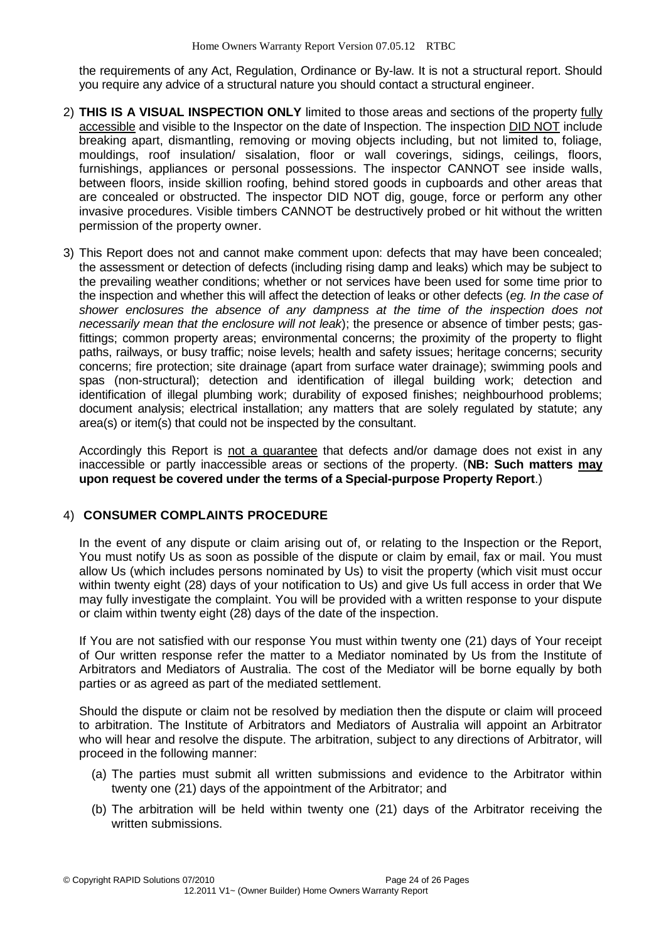the requirements of any Act, Regulation, Ordinance or By-law. It is not a structural report. Should you require any advice of a structural nature you should contact a structural engineer.

- 2) **THIS IS A VISUAL INSPECTION ONLY** limited to those areas and sections of the property fully accessible and visible to the Inspector on the date of Inspection. The inspection DID NOT include breaking apart, dismantling, removing or moving objects including, but not limited to, foliage, mouldings, roof insulation/ sisalation, floor or wall coverings, sidings, ceilings, floors, furnishings, appliances or personal possessions. The inspector CANNOT see inside walls, between floors, inside skillion roofing, behind stored goods in cupboards and other areas that are concealed or obstructed. The inspector DID NOT dig, gouge, force or perform any other invasive procedures. Visible timbers CANNOT be destructively probed or hit without the written permission of the property owner.
- 3) This Report does not and cannot make comment upon: defects that may have been concealed; the assessment or detection of defects (including rising damp and leaks) which may be subject to the prevailing weather conditions; whether or not services have been used for some time prior to the inspection and whether this will affect the detection of leaks or other defects (*eg. In the case of shower enclosures the absence of any dampness at the time of the inspection does not necessarily mean that the enclosure will not leak*); the presence or absence of timber pests; gasfittings; common property areas; environmental concerns; the proximity of the property to flight paths, railways, or busy traffic; noise levels; health and safety issues; heritage concerns; security concerns; fire protection; site drainage (apart from surface water drainage); swimming pools and spas (non-structural); detection and identification of illegal building work; detection and identification of illegal plumbing work; durability of exposed finishes; neighbourhood problems; document analysis; electrical installation; any matters that are solely regulated by statute; any area(s) or item(s) that could not be inspected by the consultant.

Accordingly this Report is not a guarantee that defects and/or damage does not exist in any inaccessible or partly inaccessible areas or sections of the property. (**NB: Such matters may upon request be covered under the terms of a Special-purpose Property Report**.)

#### 4) **CONSUMER COMPLAINTS PROCEDURE**

In the event of any dispute or claim arising out of, or relating to the Inspection or the Report, You must notify Us as soon as possible of the dispute or claim by email, fax or mail. You must allow Us (which includes persons nominated by Us) to visit the property (which visit must occur within twenty eight (28) days of your notification to Us) and give Us full access in order that We may fully investigate the complaint. You will be provided with a written response to your dispute or claim within twenty eight (28) days of the date of the inspection.

If You are not satisfied with our response You must within twenty one (21) days of Your receipt of Our written response refer the matter to a Mediator nominated by Us from the Institute of Arbitrators and Mediators of Australia. The cost of the Mediator will be borne equally by both parties or as agreed as part of the mediated settlement.

Should the dispute or claim not be resolved by mediation then the dispute or claim will proceed to arbitration. The Institute of Arbitrators and Mediators of Australia will appoint an Arbitrator who will hear and resolve the dispute. The arbitration, subject to any directions of Arbitrator, will proceed in the following manner:

- (a) The parties must submit all written submissions and evidence to the Arbitrator within twenty one (21) days of the appointment of the Arbitrator; and
- (b) The arbitration will be held within twenty one (21) days of the Arbitrator receiving the written submissions.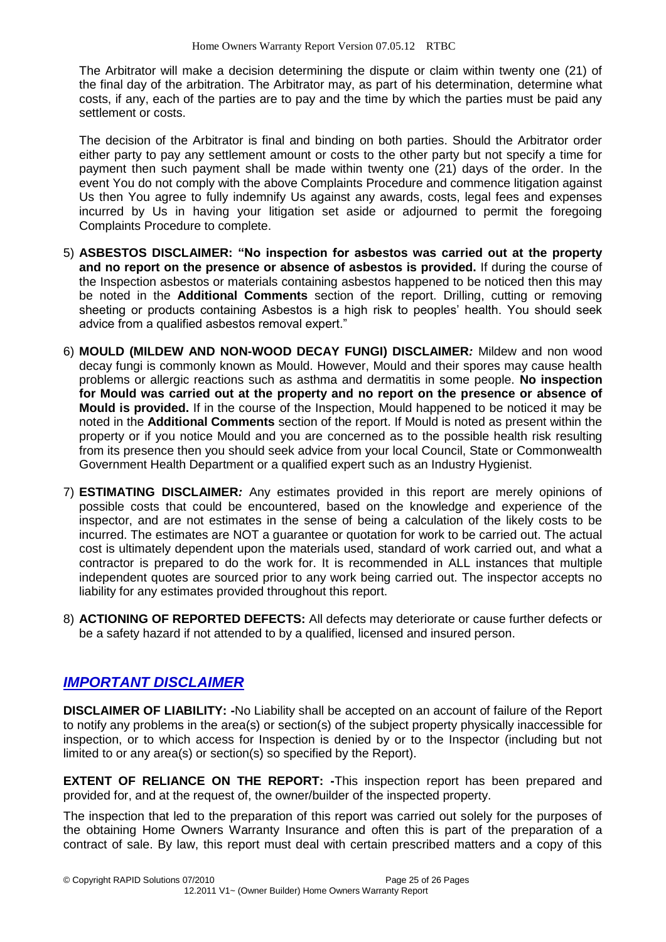The Arbitrator will make a decision determining the dispute or claim within twenty one (21) of the final day of the arbitration. The Arbitrator may, as part of his determination, determine what costs, if any, each of the parties are to pay and the time by which the parties must be paid any settlement or costs.

The decision of the Arbitrator is final and binding on both parties. Should the Arbitrator order either party to pay any settlement amount or costs to the other party but not specify a time for payment then such payment shall be made within twenty one (21) days of the order. In the event You do not comply with the above Complaints Procedure and commence litigation against Us then You agree to fully indemnify Us against any awards, costs, legal fees and expenses incurred by Us in having your litigation set aside or adjourned to permit the foregoing Complaints Procedure to complete.

- 5) **ASBESTOS DISCLAIMER: "No inspection for asbestos was carried out at the property and no report on the presence or absence of asbestos is provided.** If during the course of the Inspection asbestos or materials containing asbestos happened to be noticed then this may be noted in the **Additional Comments** section of the report. Drilling, cutting or removing sheeting or products containing Asbestos is a high risk to peoples' health. You should seek advice from a qualified asbestos removal expert."
- 6) **MOULD (MILDEW AND NON-WOOD DECAY FUNGI) DISCLAIMER***:* Mildew and non wood decay fungi is commonly known as Mould. However, Mould and their spores may cause health problems or allergic reactions such as asthma and dermatitis in some people. **No inspection for Mould was carried out at the property and no report on the presence or absence of Mould is provided.** If in the course of the Inspection, Mould happened to be noticed it may be noted in the **Additional Comments** section of the report. If Mould is noted as present within the property or if you notice Mould and you are concerned as to the possible health risk resulting from its presence then you should seek advice from your local Council, State or Commonwealth Government Health Department or a qualified expert such as an Industry Hygienist.
- 7) **ESTIMATING DISCLAIMER***:* Any estimates provided in this report are merely opinions of possible costs that could be encountered, based on the knowledge and experience of the inspector, and are not estimates in the sense of being a calculation of the likely costs to be incurred. The estimates are NOT a guarantee or quotation for work to be carried out. The actual cost is ultimately dependent upon the materials used, standard of work carried out, and what a contractor is prepared to do the work for. It is recommended in ALL instances that multiple independent quotes are sourced prior to any work being carried out. The inspector accepts no liability for any estimates provided throughout this report.
- 8) **ACTIONING OF REPORTED DEFECTS:** All defects may deteriorate or cause further defects or be a safety hazard if not attended to by a qualified, licensed and insured person.

# *IMPORTANT DISCLAIMER*

**DISCLAIMER OF LIABILITY: -**No Liability shall be accepted on an account of failure of the Report to notify any problems in the area(s) or section(s) of the subject property physically inaccessible for inspection, or to which access for Inspection is denied by or to the Inspector (including but not limited to or any area(s) or section(s) so specified by the Report).

**EXTENT OF RELIANCE ON THE REPORT: -**This inspection report has been prepared and provided for, and at the request of, the owner/builder of the inspected property.

The inspection that led to the preparation of this report was carried out solely for the purposes of the obtaining Home Owners Warranty Insurance and often this is part of the preparation of a contract of sale. By law, this report must deal with certain prescribed matters and a copy of this